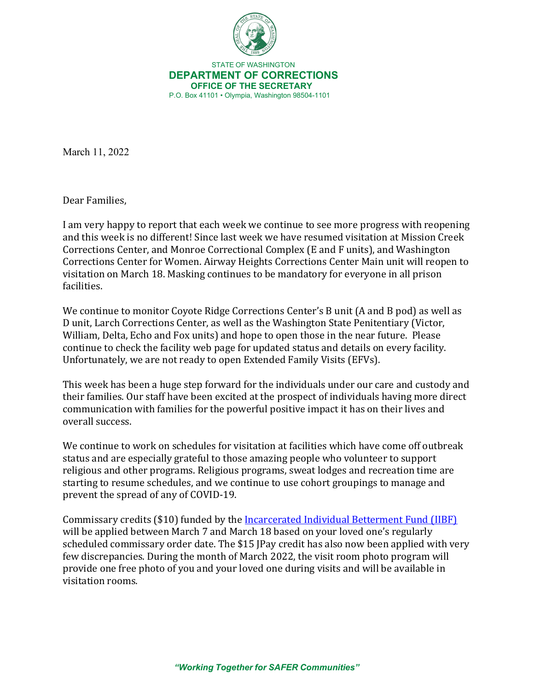

 STATE OF WASHINGTON **DEPARTMENT OF CORRECTIONS OFFICE OF THE SECRETARY** P.O. Box 41101 • Olympia, Washington 98504-1101

March 11, 2022

Dear Families,

I am very happy to report that each week we continue to see more progress with reopening and this week is no different! Since last week we have resumed visitation at Mission Creek Corrections Center, and Monroe Correctional Complex (E and F units), and Washington Corrections Center for Women. Airway Heights Corrections Center Main unit will reopen to visitation on March 18. Masking continues to be mandatory for everyone in all prison facilities.

We continue to monitor Coyote Ridge Corrections Center's B unit (A and B pod) as well as D unit, Larch Corrections Center, as well as the Washington State Penitentiary (Victor, William, Delta, Echo and Fox units) and hope to open those in the near future. Please continue to check the facility web page for updated status and details on every facility. Unfortunately, we are not ready to open Extended Family Visits (EFVs).

This week has been a huge step forward for the individuals under our care and custody and their families. Our staff have been excited at the prospect of individuals having more direct communication with families for the powerful positive impact it has on their lives and overall success.

We continue to work on schedules for visitation at facilities which have come off outbreak status and are especially grateful to those amazing people who volunteer to support religious and other programs. Religious programs, sweat lodges and recreation time are starting to resume schedules, and we continue to use cohort groupings to manage and prevent the spread of any of COVID-19.

Commissary credits (\$10) funded by th[e Incarcerated Individual Betterment Fund \(IIBF\)](https://doc.wa.gov/corrections/covid-19/docs/2022-0128-incarcerated-families-letter-from-the-secretary.pdf) will be applied between March 7 and March 18 based on your loved one's regularly scheduled commissary order date. The \$15 JPay credit has also now been applied with very few discrepancies. During the month of March 2022, the visit room photo program will provide one free photo of you and your loved one during visits and will be available in visitation rooms.